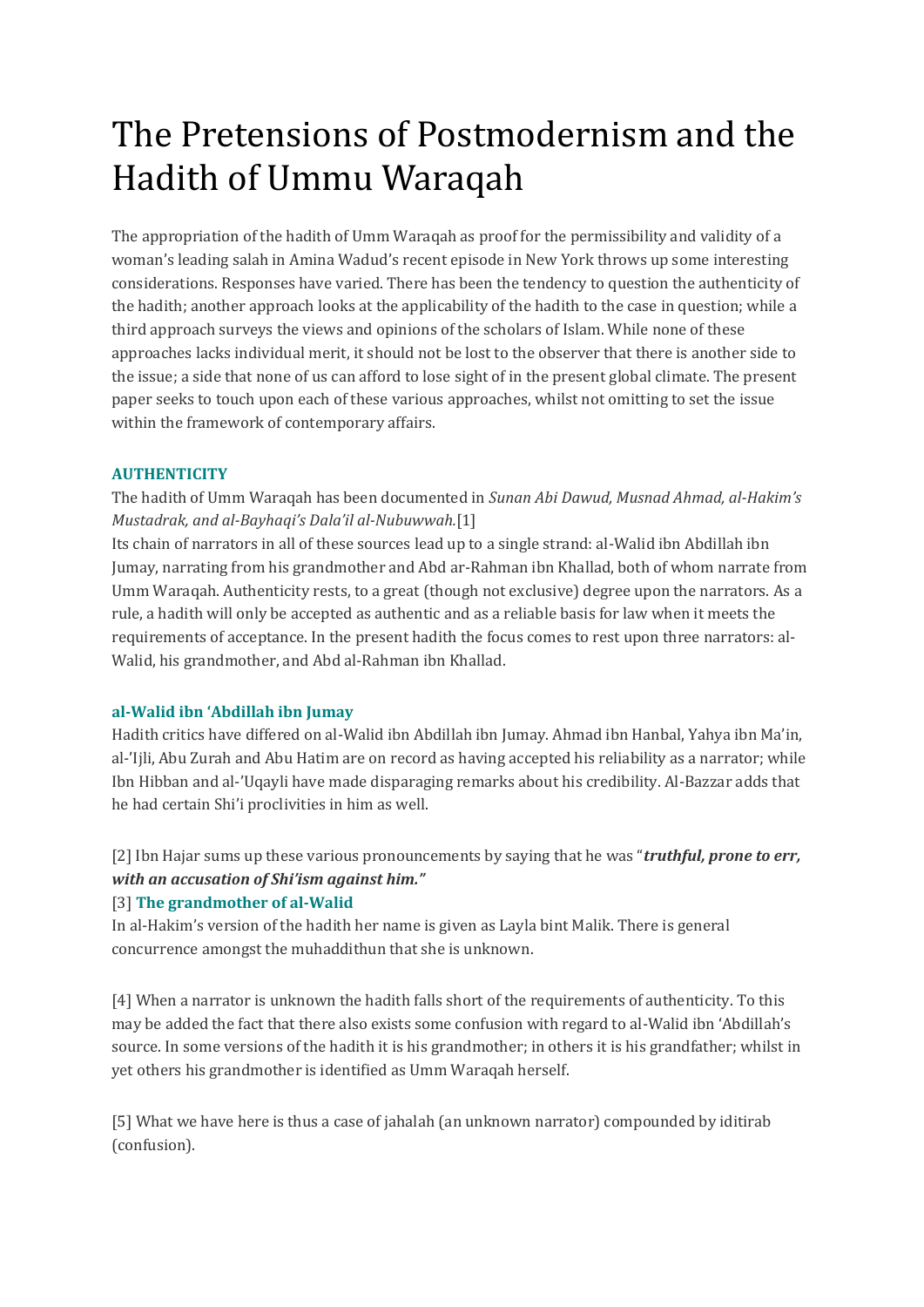# The Pretensions of Postmodernism and the Hadith of Ummu Waraqah

The appropriation of the hadith of Umm Waraqah as proof for the permissibility and validity of a woman's leading salah in Amina Wadud's recent episode in New York throws up some interesting considerations. Responses have varied. There has been the tendency to question the authenticity of the hadith; another approach looks at the applicability of the hadith to the case in question; while a third approach surveys the views and opinions of the scholars of Islam. While none of these approaches lacks individual merit, it should not be lost to the observer that there is another side to the issue; a side that none of us can afford to lose sight of in the present global climate. The present paper seeks to touch upon each of these various approaches, whilst not omitting to set the issue within the framework of contemporary affairs.

# **AUTHENTICITY**

The hadith of Umm Waraqah has been documented in *Sunan Abi Dawud, Musnad Ahmad, al-Hakim's Mustadrak, and al-Bayhaqi's Dala'il al-Nubuwwah.*[1]

Its chain of narrators in all of these sources lead up to a single strand: al-Walid ibn Abdillah ibn Jumay, narrating from his grandmother and Abd ar-Rahman ibn Khallad, both of whom narrate from Umm Waraqah. Authenticity rests, to a great (though not exclusive) degree upon the narrators. As a rule, a hadith will only be accepted as authentic and as a reliable basis for law when it meets the requirements of acceptance. In the present hadith the focus comes to rest upon three narrators: al-Walid, his grandmother, and Abd al-Rahman ibn Khallad.

# **al-Walid ibn 'Abdillah ibn Jumay**

Hadith critics have differed on al-Walid ibn Abdillah ibn Jumay. Ahmad ibn Hanbal, Yahya ibn Ma'in, al-'Ijli, Abu Zurah and Abu Hatim are on record as having accepted his reliability as a narrator; while Ibn Hibban and al-'Uqayli have made disparaging remarks about his credibility. Al-Bazzar adds that he had certain Shi'i proclivities in him as well.

[2] Ibn Hajar sums up these various pronouncements by saying that he was "*truthful, prone to err, with an accusation of Shi'ism against him."*

# [3] **The grandmother of al-Walid**

In al-Hakim's version of the hadith her name is given as Layla bint Malik. There is general concurrence amongst the muhaddithun that she is unknown.

[4] When a narrator is unknown the hadith falls short of the requirements of authenticity. To this may be added the fact that there also exists some confusion with regard to al-Walid ibn 'Abdillah's source. In some versions of the hadith it is his grandmother; in others it is his grandfather; whilst in yet others his grandmother is identified as Umm Waraqah herself.

[5] What we have here is thus a case of jahalah (an unknown narrator) compounded by iditirab (confusion).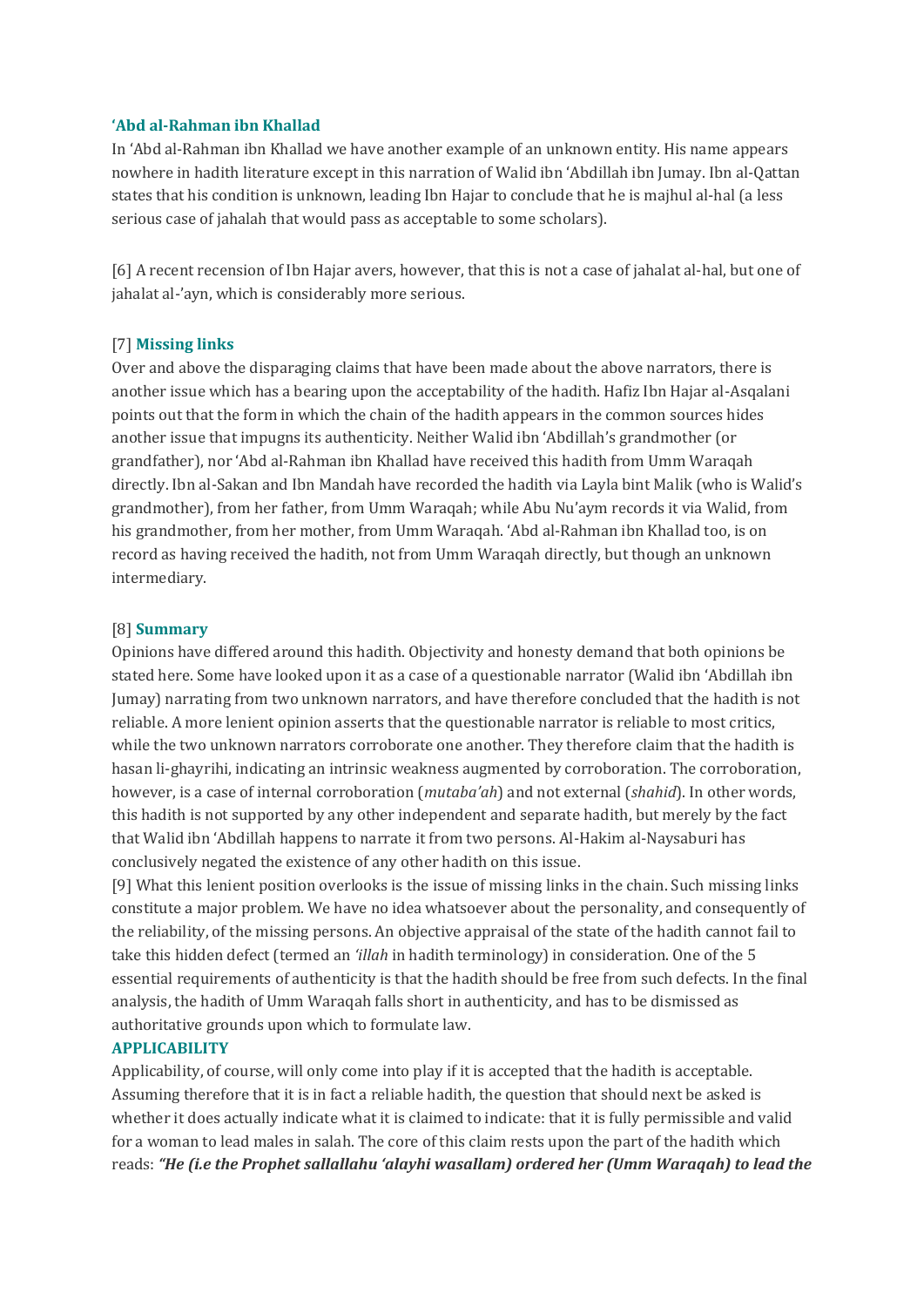#### **'Abd al-Rahman ibn Khallad**

In 'Abd al-Rahman ibn Khallad we have another example of an unknown entity. His name appears nowhere in hadith literature except in this narration of Walid ibn 'Abdillah ibn Jumay. Ibn al-Qattan states that his condition is unknown, leading Ibn Hajar to conclude that he is majhul al-hal (a less serious case of jahalah that would pass as acceptable to some scholars).

[6] A recent recension of Ibn Hajar avers, however, that this is not a case of jahalat al-hal, but one of jahalat al-'ayn, which is considerably more serious.

#### [7] **Missing links**

Over and above the disparaging claims that have been made about the above narrators, there is another issue which has a bearing upon the acceptability of the hadith. Hafiz Ibn Hajar al-Asqalani points out that the form in which the chain of the hadith appears in the common sources hides another issue that impugns its authenticity. Neither Walid ibn 'Abdillah's grandmother (or grandfather), nor 'Abd al-Rahman ibn Khallad have received this hadith from Umm Waraqah directly. Ibn al-Sakan and Ibn Mandah have recorded the hadith via Layla bint Malik (who is Walid's grandmother), from her father, from Umm Waraqah; while Abu Nu'aym records it via Walid, from his grandmother, from her mother, from Umm Waraqah. 'Abd al-Rahman ibn Khallad too, is on record as having received the hadith, not from Umm Waraqah directly, but though an unknown intermediary.

#### [8] **Summary**

Opinions have differed around this hadith. Objectivity and honesty demand that both opinions be stated here. Some have looked upon it as a case of a questionable narrator (Walid ibn 'Abdillah ibn Jumay) narrating from two unknown narrators, and have therefore concluded that the hadith is not reliable. A more lenient opinion asserts that the questionable narrator is reliable to most critics, while the two unknown narrators corroborate one another. They therefore claim that the hadith is hasan li-ghayrihi, indicating an intrinsic weakness augmented by corroboration. The corroboration, however, is a case of internal corroboration (*mutaba'ah*) and not external (*shahid*). In other words, this hadith is not supported by any other independent and separate hadith, but merely by the fact that Walid ibn 'Abdillah happens to narrate it from two persons. Al-Hakim al-Naysaburi has conclusively negated the existence of any other hadith on this issue.

[9] What this lenient position overlooks is the issue of missing links in the chain. Such missing links constitute a major problem. We have no idea whatsoever about the personality, and consequently of the reliability, of the missing persons. An objective appraisal of the state of the hadith cannot fail to take this hidden defect (termed an *'illah* in hadith terminology) in consideration. One of the 5 essential requirements of authenticity is that the hadith should be free from such defects. In the final analysis, the hadith of Umm Waraqah falls short in authenticity, and has to be dismissed as authoritative grounds upon which to formulate law.

#### **APPLICABILITY**

Applicability, of course, will only come into play if it is accepted that the hadith is acceptable. Assuming therefore that it is in fact a reliable hadith, the question that should next be asked is whether it does actually indicate what it is claimed to indicate: that it is fully permissible and valid for a woman to lead males in salah. The core of this claim rests upon the part of the hadith which reads: *"He (i.e the Prophet sallallahu 'alayhi wasallam) ordered her (Umm Waraqah) to lead the*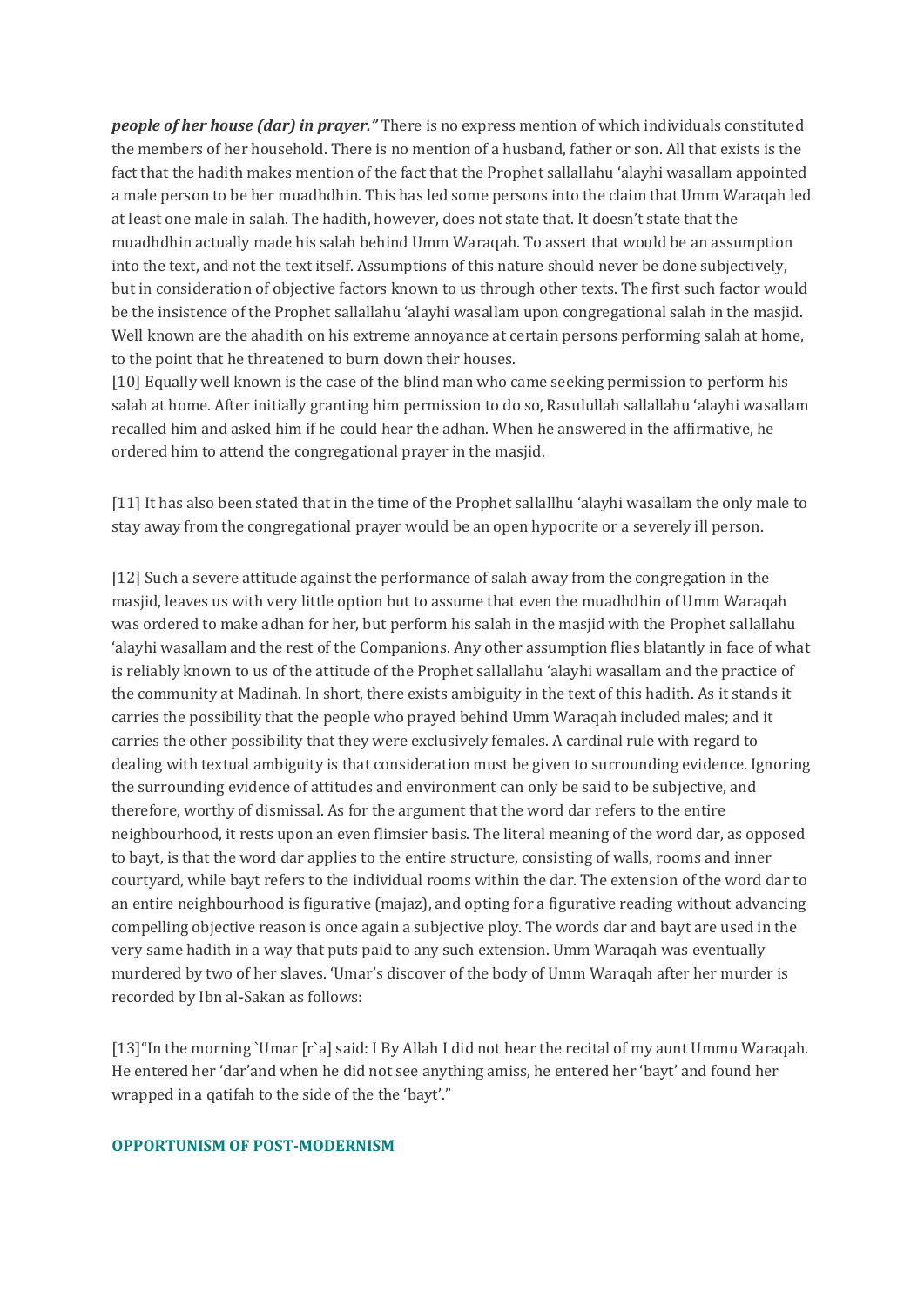*people of her house (dar) in prayer."* There is no express mention of which individuals constituted the members of her household. There is no mention of a husband, father or son. All that exists is the fact that the hadith makes mention of the fact that the Prophet sallallahu 'alayhi wasallam appointed a male person to be her muadhdhin. This has led some persons into the claim that Umm Waraqah led at least one male in salah. The hadith, however, does not state that. It doesn't state that the muadhdhin actually made his salah behind Umm Waraqah. To assert that would be an assumption into the text, and not the text itself. Assumptions of this nature should never be done subjectively, but in consideration of objective factors known to us through other texts. The first such factor would be the insistence of the Prophet sallallahu 'alayhi wasallam upon congregational salah in the masjid. Well known are the ahadith on his extreme annoyance at certain persons performing salah at home, to the point that he threatened to burn down their houses.

[10] Equally well known is the case of the blind man who came seeking permission to perform his salah at home. After initially granting him permission to do so, Rasulullah sallallahu 'alayhi wasallam recalled him and asked him if he could hear the adhan. When he answered in the affirmative, he ordered him to attend the congregational prayer in the masjid.

[11] It has also been stated that in the time of the Prophet sallallhu 'alayhi wasallam the only male to stay away from the congregational prayer would be an open hypocrite or a severely ill person.

[12] Such a severe attitude against the performance of salah away from the congregation in the masjid, leaves us with very little option but to assume that even the muadhdhin of Umm Waraqah was ordered to make adhan for her, but perform his salah in the masjid with the Prophet sallallahu 'alayhi wasallam and the rest of the Companions. Any other assumption flies blatantly in face of what is reliably known to us of the attitude of the Prophet sallallahu 'alayhi wasallam and the practice of the community at Madinah. In short, there exists ambiguity in the text of this hadith. As it stands it carries the possibility that the people who prayed behind Umm Waraqah included males; and it carries the other possibility that they were exclusively females. A cardinal rule with regard to dealing with textual ambiguity is that consideration must be given to surrounding evidence. Ignoring the surrounding evidence of attitudes and environment can only be said to be subjective, and therefore, worthy of dismissal. As for the argument that the word dar refers to the entire neighbourhood, it rests upon an even flimsier basis. The literal meaning of the word dar, as opposed to bayt, is that the word dar applies to the entire structure, consisting of walls, rooms and inner courtyard, while bayt refers to the individual rooms within the dar. The extension of the word dar to an entire neighbourhood is figurative (majaz), and opting for a figurative reading without advancing compelling objective reason is once again a subjective ploy. The words dar and bayt are used in the very same hadith in a way that puts paid to any such extension. Umm Waraqah was eventually murdered by two of her slaves. 'Umar's discover of the body of Umm Waraqah after her murder is recorded by Ibn al-Sakan as follows:

[13]"In the morning `Umar [r`a] said: I By Allah I did not hear the recital of my aunt Ummu Waraqah. He entered her 'dar'and when he did not see anything amiss, he entered her 'bayt' and found her wrapped in a qatifah to the side of the the 'bayt'."

## **OPPORTUNISM OF POST-MODERNISM**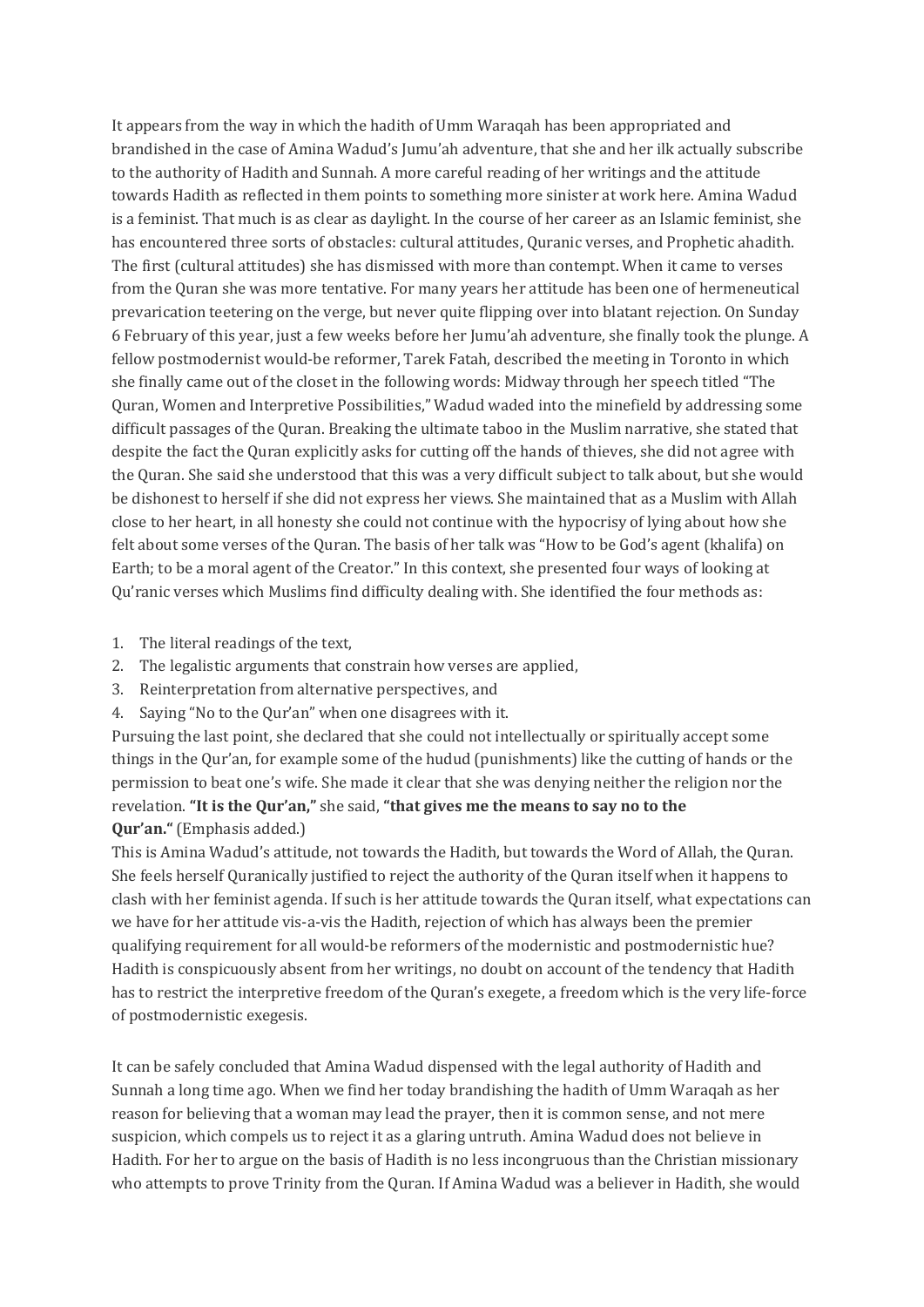It appears from the way in which the hadith of Umm Waraqah has been appropriated and brandished in the case of Amina Wadud's Jumu'ah adventure, that she and her ilk actually subscribe to the authority of Hadith and Sunnah. A more careful reading of her writings and the attitude towards Hadith as reflected in them points to something more sinister at work here. Amina Wadud is a feminist. That much is as clear as daylight. In the course of her career as an Islamic feminist, she has encountered three sorts of obstacles: cultural attitudes, Quranic verses, and Prophetic ahadith. The first (cultural attitudes) she has dismissed with more than contempt. When it came to verses from the Quran she was more tentative. For many years her attitude has been one of hermeneutical prevarication teetering on the verge, but never quite flipping over into blatant rejection. On Sunday 6 February of this year, just a few weeks before her Jumu'ah adventure, she finally took the plunge. A fellow postmodernist would-be reformer, Tarek Fatah, described the meeting in Toronto in which she finally came out of the closet in the following words: Midway through her speech titled "The Quran, Women and Interpretive Possibilities," Wadud waded into the minefield by addressing some difficult passages of the Quran. Breaking the ultimate taboo in the Muslim narrative, she stated that despite the fact the Quran explicitly asks for cutting off the hands of thieves, she did not agree with the Quran. She said she understood that this was a very difficult subject to talk about, but she would be dishonest to herself if she did not express her views. She maintained that as a Muslim with Allah close to her heart, in all honesty she could not continue with the hypocrisy of lying about how she felt about some verses of the Quran. The basis of her talk was "How to be God's agent (khalifa) on Earth; to be a moral agent of the Creator." In this context, she presented four ways of looking at Qu'ranic verses which Muslims find difficulty dealing with. She identified the four methods as:

- 1. The literal readings of the text,
- 2. The legalistic arguments that constrain how verses are applied,
- 3. Reinterpretation from alternative perspectives, and
- 4. Saying "No to the Qur'an" when one disagrees with it.

Pursuing the last point, she declared that she could not intellectually or spiritually accept some things in the Qur'an, for example some of the hudud (punishments) like the cutting of hands or the permission to beat one's wife. She made it clear that she was denying neither the religion nor the revelation. **"It is the Qur'an,"** she said, **"that gives me the means to say no to the Qur'an."** (Emphasis added.)

This is Amina Wadud's attitude, not towards the Hadith, but towards the Word of Allah, the Quran. She feels herself Quranically justified to reject the authority of the Quran itself when it happens to clash with her feminist agenda. If such is her attitude towards the Quran itself, what expectations can we have for her attitude vis-a-vis the Hadith, rejection of which has always been the premier qualifying requirement for all would-be reformers of the modernistic and postmodernistic hue? Hadith is conspicuously absent from her writings, no doubt on account of the tendency that Hadith has to restrict the interpretive freedom of the Quran's exegete, a freedom which is the very life-force of postmodernistic exegesis.

It can be safely concluded that Amina Wadud dispensed with the legal authority of Hadith and Sunnah a long time ago. When we find her today brandishing the hadith of Umm Waraqah as her reason for believing that a woman may lead the prayer, then it is common sense, and not mere suspicion, which compels us to reject it as a glaring untruth. Amina Wadud does not believe in Hadith. For her to argue on the basis of Hadith is no less incongruous than the Christian missionary who attempts to prove Trinity from the Quran. If Amina Wadud was a believer in Hadith, she would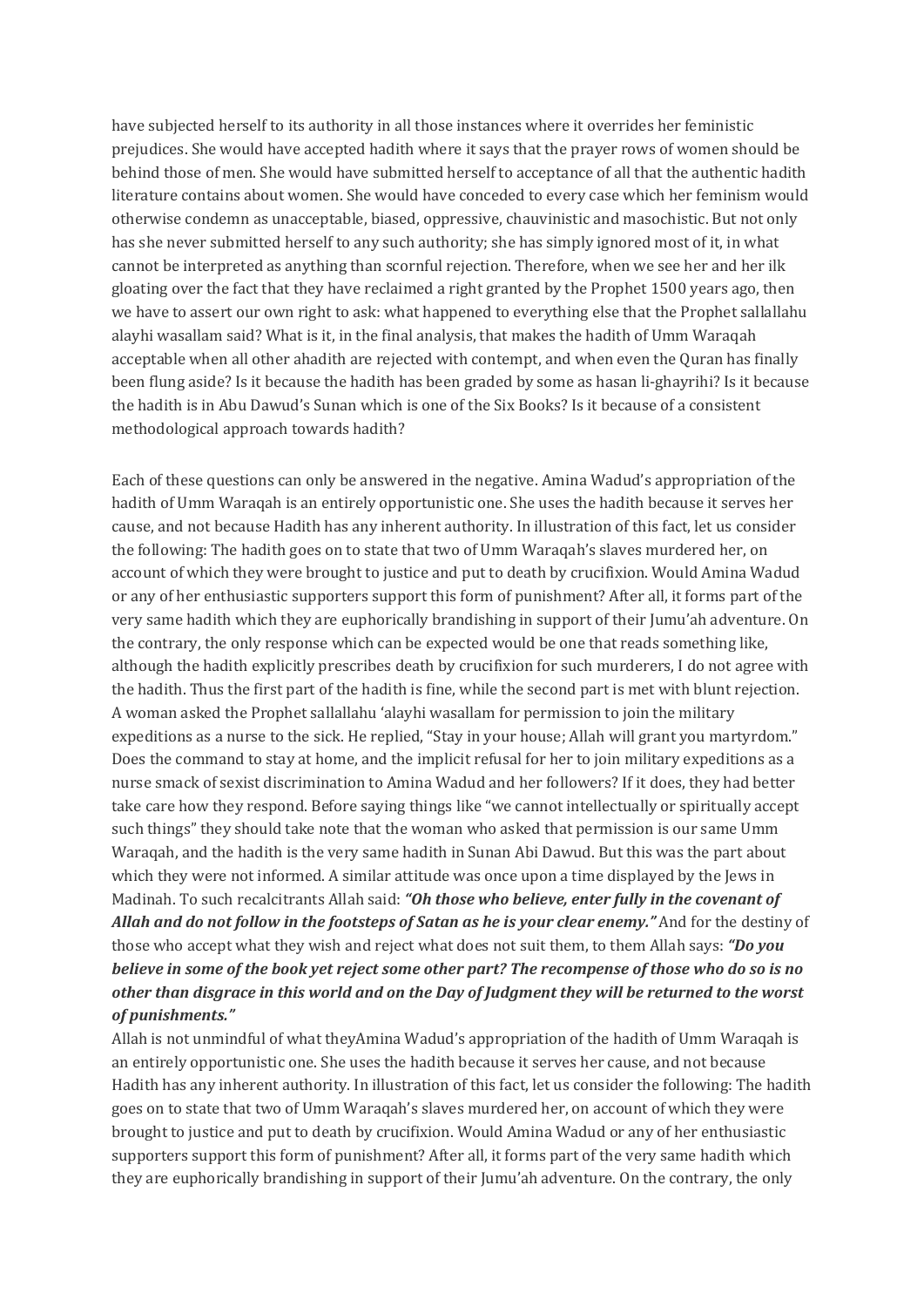have subjected herself to its authority in all those instances where it overrides her feministic prejudices. She would have accepted hadith where it says that the prayer rows of women should be behind those of men. She would have submitted herself to acceptance of all that the authentic hadith literature contains about women. She would have conceded to every case which her feminism would otherwise condemn as unacceptable, biased, oppressive, chauvinistic and masochistic. But not only has she never submitted herself to any such authority; she has simply ignored most of it, in what cannot be interpreted as anything than scornful rejection. Therefore, when we see her and her ilk gloating over the fact that they have reclaimed a right granted by the Prophet 1500 years ago, then we have to assert our own right to ask: what happened to everything else that the Prophet sallallahu alayhi wasallam said? What is it, in the final analysis, that makes the hadith of Umm Waraqah acceptable when all other ahadith are rejected with contempt, and when even the Quran has finally been flung aside? Is it because the hadith has been graded by some as hasan li-ghayrihi? Is it because the hadith is in Abu Dawud's Sunan which is one of the Six Books? Is it because of a consistent methodological approach towards hadith?

Each of these questions can only be answered in the negative. Amina Wadud's appropriation of the hadith of Umm Waraqah is an entirely opportunistic one. She uses the hadith because it serves her cause, and not because Hadith has any inherent authority. In illustration of this fact, let us consider the following: The hadith goes on to state that two of Umm Waraqah's slaves murdered her, on account of which they were brought to justice and put to death by crucifixion. Would Amina Wadud or any of her enthusiastic supporters support this form of punishment? After all, it forms part of the very same hadith which they are euphorically brandishing in support of their Jumu'ah adventure. On the contrary, the only response which can be expected would be one that reads something like, although the hadith explicitly prescribes death by crucifixion for such murderers, I do not agree with the hadith. Thus the first part of the hadith is fine, while the second part is met with blunt rejection. A woman asked the Prophet sallallahu 'alayhi wasallam for permission to join the military expeditions as a nurse to the sick. He replied, "Stay in your house; Allah will grant you martyrdom." Does the command to stay at home, and the implicit refusal for her to join military expeditions as a nurse smack of sexist discrimination to Amina Wadud and her followers? If it does, they had better take care how they respond. Before saying things like "we cannot intellectually or spiritually accept such things" they should take note that the woman who asked that permission is our same Umm Waraqah, and the hadith is the very same hadith in Sunan Abi Dawud. But this was the part about which they were not informed. A similar attitude was once upon a time displayed by the Jews in Madinah. To such recalcitrants Allah said: *"Oh those who believe, enter fully in the covenant of Allah and do not follow in the footsteps of Satan as he is your clear enemy."* And for the destiny of those who accept what they wish and reject what does not suit them, to them Allah says: *"Do you* believe in some of the book yet reject some other part? The recompense of those who do so is no other than disgrace in this world and on the Day of Judgment they will be returned to the worst *of punishments."*

Allah is not unmindful of what theyAmina Wadud's appropriation of the hadith of Umm Waraqah is an entirely opportunistic one. She uses the hadith because it serves her cause, and not because Hadith has any inherent authority. In illustration of this fact, let us consider the following: The hadith goes on to state that two of Umm Waraqah's slaves murdered her, on account of which they were brought to justice and put to death by crucifixion. Would Amina Wadud or any of her enthusiastic supporters support this form of punishment? After all, it forms part of the very same hadith which they are euphorically brandishing in support of their Jumu'ah adventure. On the contrary, the only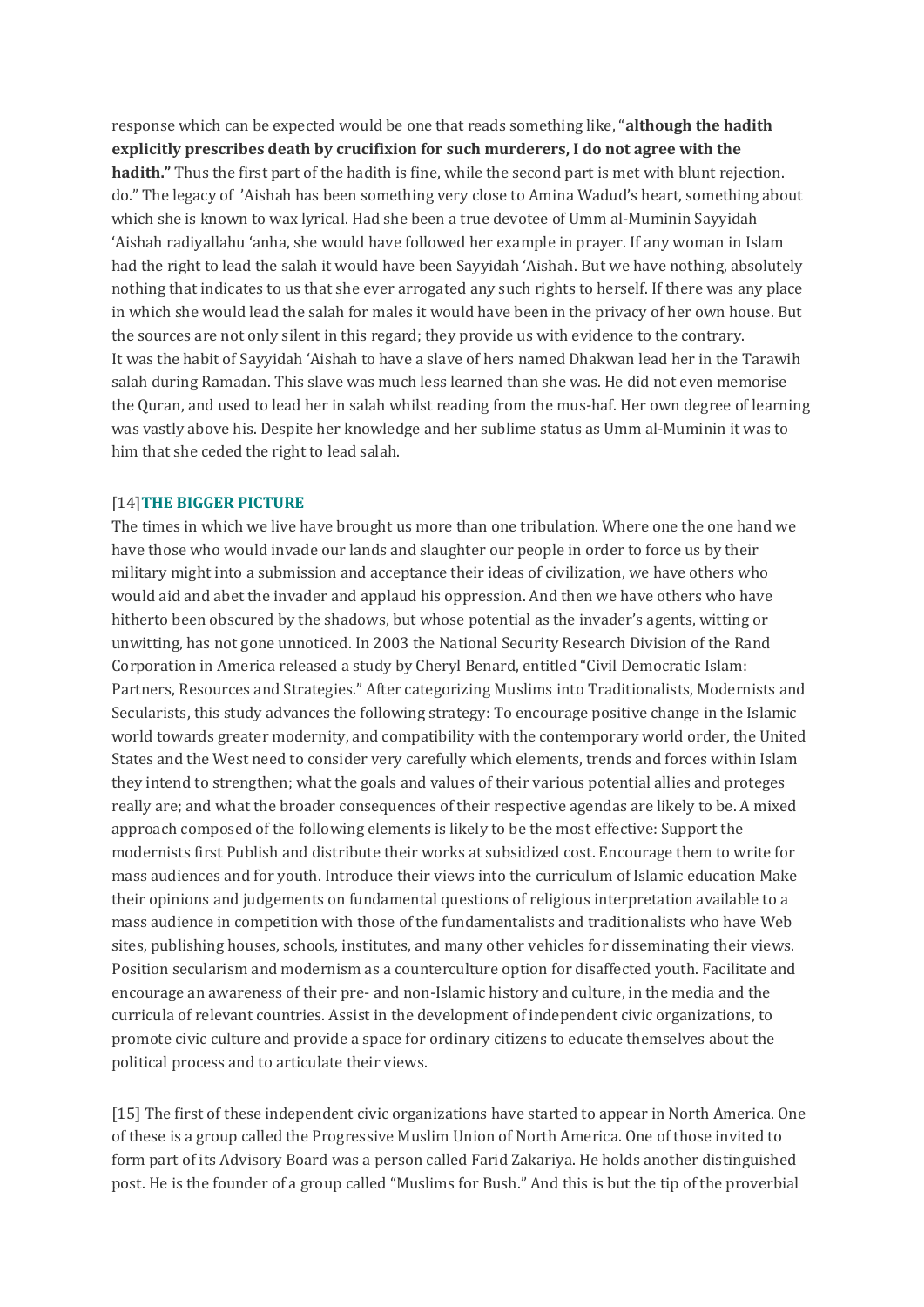response which can be expected would be one that reads something like, "**although the hadith explicitly prescribes death by crucifixion for such murderers, I do not agree with the hadith."** Thus the first part of the hadith is fine, while the second part is met with blunt rejection. do." The legacy of 'Aishah has been something very close to Amina Wadud's heart, something about which she is known to wax lyrical. Had she been a true devotee of Umm al-Muminin Sayyidah 'Aishah radiyallahu 'anha, she would have followed her example in prayer. If any woman in Islam had the right to lead the salah it would have been Sayyidah 'Aishah. But we have nothing, absolutely nothing that indicates to us that she ever arrogated any such rights to herself. If there was any place in which she would lead the salah for males it would have been in the privacy of her own house. But the sources are not only silent in this regard; they provide us with evidence to the contrary. It was the habit of Sayyidah 'Aishah to have a slave of hers named Dhakwan lead her in the Tarawih salah during Ramadan. This slave was much less learned than she was. He did not even memorise the Quran, and used to lead her in salah whilst reading from the mus-haf. Her own degree of learning was vastly above his. Despite her knowledge and her sublime status as Umm al-Muminin it was to him that she ceded the right to lead salah.

### [14]**THE BIGGER PICTURE**

The times in which we live have brought us more than one tribulation. Where one the one hand we have those who would invade our lands and slaughter our people in order to force us by their military might into a submission and acceptance their ideas of civilization, we have others who would aid and abet the invader and applaud his oppression. And then we have others who have hitherto been obscured by the shadows, but whose potential as the invader's agents, witting or unwitting, has not gone unnoticed. In 2003 the National Security Research Division of the Rand Corporation in America released a study by Cheryl Benard, entitled "Civil Democratic Islam: Partners, Resources and Strategies." After categorizing Muslims into Traditionalists, Modernists and Secularists, this study advances the following strategy: To encourage positive change in the Islamic world towards greater modernity, and compatibility with the contemporary world order, the United States and the West need to consider very carefully which elements, trends and forces within Islam they intend to strengthen; what the goals and values of their various potential allies and proteges really are; and what the broader consequences of their respective agendas are likely to be. A mixed approach composed of the following elements is likely to be the most effective: Support the modernists first Publish and distribute their works at subsidized cost. Encourage them to write for mass audiences and for youth. Introduce their views into the curriculum of Islamic education Make their opinions and judgements on fundamental questions of religious interpretation available to a mass audience in competition with those of the fundamentalists and traditionalists who have Web sites, publishing houses, schools, institutes, and many other vehicles for disseminating their views. Position secularism and modernism as a counterculture option for disaffected youth. Facilitate and encourage an awareness of their pre- and non-Islamic history and culture, in the media and the curricula of relevant countries. Assist in the development of independent civic organizations, to promote civic culture and provide a space for ordinary citizens to educate themselves about the political process and to articulate their views.

[15] The first of these independent civic organizations have started to appear in North America. One of these is a group called the Progressive Muslim Union of North America. One of those invited to form part of its Advisory Board was a person called Farid Zakariya. He holds another distinguished post. He is the founder of a group called "Muslims for Bush." And this is but the tip of the proverbial